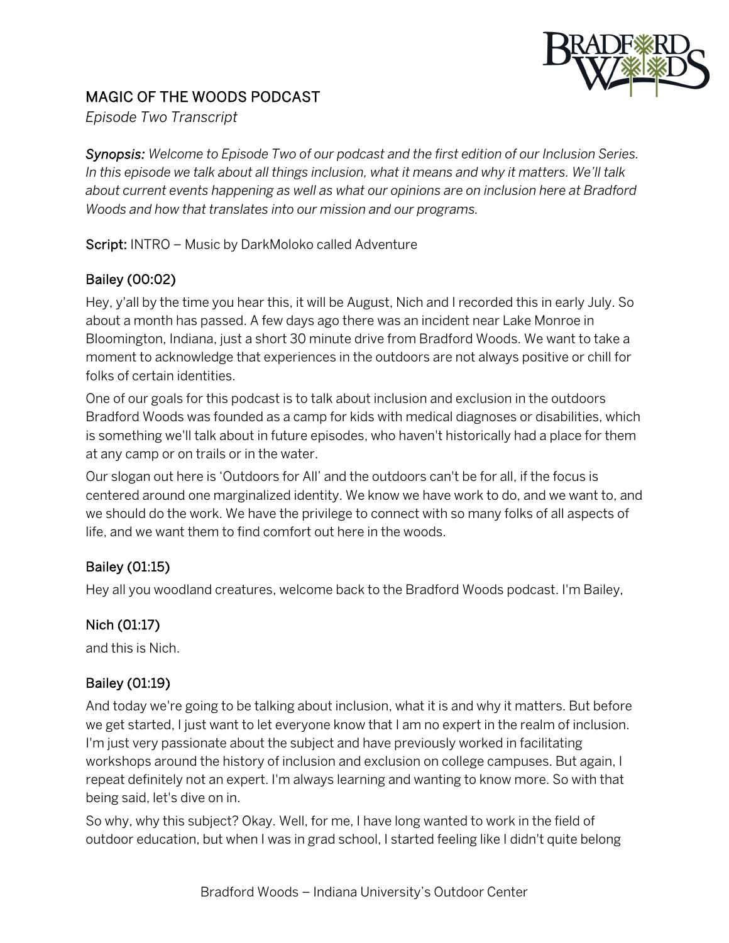

# MAGIC OF THE WOODS PODCAST

*Episode Two Transcript*

*Synopsis: Welcome to Episode Two of our podcast and the first edition of our Inclusion Series. In this episode we talk about all things inclusion, what it means and why it matters. We'll talk about current events happening as well as what our opinions are on inclusion here at Bradford Woods and how that translates into our mission and our programs.*

Script: INTRO – Music by DarkMoloko called Adventure

## Bailey (00:02)

Hey, y'all by the time you hear this, it will be August, Nich and I recorded this in early July. So about a month has passed. A few days ago there was an incident near Lake Monroe in Bloomington, Indiana, just a short 30 minute drive from Bradford Woods. We want to take a moment to acknowledge that experiences in the outdoors are not always positive or chill for folks of certain identities.

One of our goals for this podcast is to talk about inclusion and exclusion in the outdoors Bradford Woods was founded as a camp for kids with medical diagnoses or disabilities, which is something we'll talk about in future episodes, who haven't historically had a place for them at any camp or on trails or in the water.

Our slogan out here is 'Outdoors for All' and the outdoors can't be for all, if the focus is centered around one marginalized identity. We know we have work to do, and we want to, and we should do the work. We have the privilege to connect with so many folks of all aspects of life, and we want them to find comfort out here in the woods.

## Bailey (01:15)

Hey all you woodland creatures, welcome back to the Bradford Woods podcast. I'm Bailey,

## Nich (01:17)

and this is Nich.

## Bailey (01:19)

And today we're going to be talking about inclusion, what it is and why it matters. But before we get started, I just want to let everyone know that I am no expert in the realm of inclusion. I'm just very passionate about the subject and have previously worked in facilitating workshops around the history of inclusion and exclusion on college campuses. But again, I repeat definitely not an expert. I'm always learning and wanting to know more. So with that being said, let's dive on in.

So why, why this subject? Okay. Well, for me, I have long wanted to work in the field of outdoor education, but when I was in grad school, I started feeling like I didn't quite belong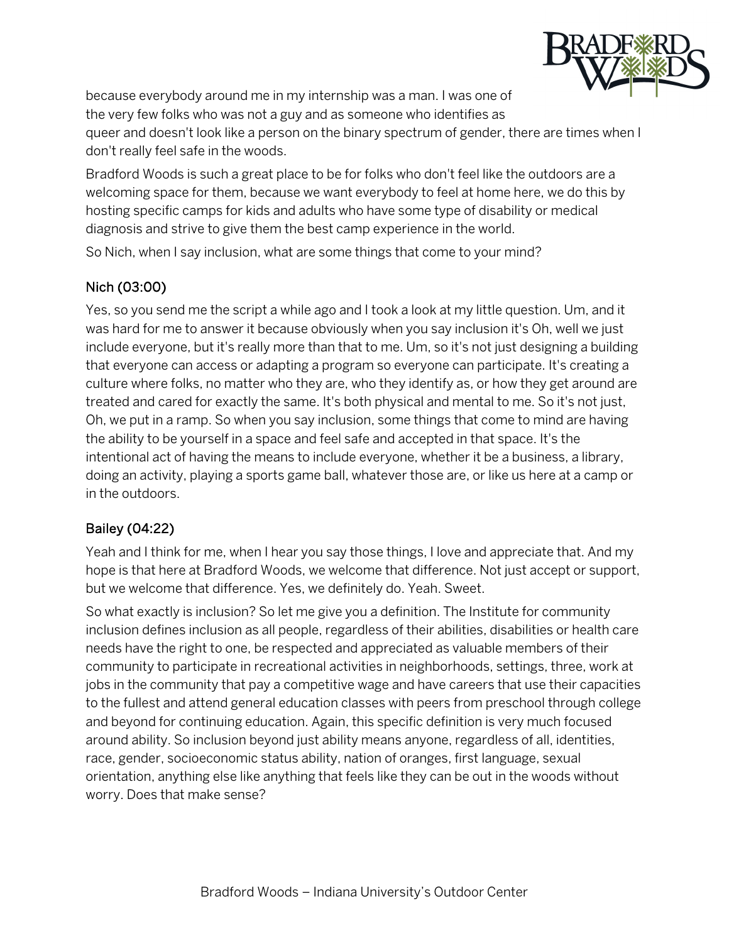

because everybody around me in my internship was a man. I was one of the very few folks who was not a guy and as someone who identifies as

queer and doesn't look like a person on the binary spectrum of gender, there are times when I don't really feel safe in the woods.

Bradford Woods is such a great place to be for folks who don't feel like the outdoors are a welcoming space for them, because we want everybody to feel at home here, we do this by hosting specific camps for kids and adults who have some type of disability or medical diagnosis and strive to give them the best camp experience in the world.

So Nich, when I say inclusion, what are some things that come to your mind?

## Nich (03:00)

Yes, so you send me the script a while ago and I took a look at my little question. Um, and it was hard for me to answer it because obviously when you say inclusion it's Oh, well we just include everyone, but it's really more than that to me. Um, so it's not just designing a building that everyone can access or adapting a program so everyone can participate. It's creating a culture where folks, no matter who they are, who they identify as, or how they get around are treated and cared for exactly the same. It's both physical and mental to me. So it's not just, Oh, we put in a ramp. So when you say inclusion, some things that come to mind are having the ability to be yourself in a space and feel safe and accepted in that space. It's the intentional act of having the means to include everyone, whether it be a business, a library, doing an activity, playing a sports game ball, whatever those are, or like us here at a camp or in the outdoors.

## Bailey (04:22)

Yeah and I think for me, when I hear you say those things, I love and appreciate that. And my hope is that here at Bradford Woods, we welcome that difference. Not just accept or support, but we welcome that difference. Yes, we definitely do. Yeah. Sweet.

So what exactly is inclusion? So let me give you a definition. The Institute for community inclusion defines inclusion as all people, regardless of their abilities, disabilities or health care needs have the right to one, be respected and appreciated as valuable members of their community to participate in recreational activities in neighborhoods, settings, three, work at jobs in the community that pay a competitive wage and have careers that use their capacities to the fullest and attend general education classes with peers from preschool through college and beyond for continuing education. Again, this specific definition is very much focused around ability. So inclusion beyond just ability means anyone, regardless of all, identities, race, gender, socioeconomic status ability, nation of oranges, first language, sexual orientation, anything else like anything that feels like they can be out in the woods without worry. Does that make sense?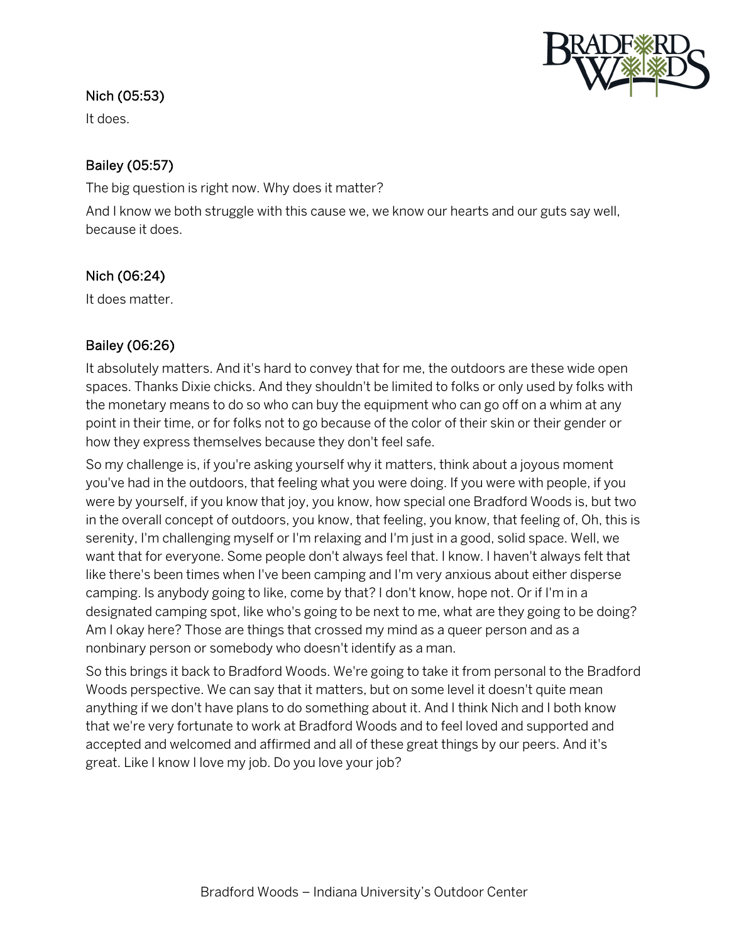

#### Nich (05:53)

It does.

### Bailey (05:57)

The big question is right now. Why does it matter?

And I know we both struggle with this cause we, we know our hearts and our guts say well, because it does.

### Nich (06:24)

It does matter.

### Bailey (06:26)

It absolutely matters. And it's hard to convey that for me, the outdoors are these wide open spaces. Thanks Dixie chicks. And they shouldn't be limited to folks or only used by folks with the monetary means to do so who can buy the equipment who can go off on a whim at any point in their time, or for folks not to go because of the color of their skin or their gender or how they express themselves because they don't feel safe.

So my challenge is, if you're asking yourself why it matters, think about a joyous moment you've had in the outdoors, that feeling what you were doing. If you were with people, if you were by yourself, if you know that joy, you know, how special one Bradford Woods is, but two in the overall concept of outdoors, you know, that feeling, you know, that feeling of, Oh, this is serenity, I'm challenging myself or I'm relaxing and I'm just in a good, solid space. Well, we want that for everyone. Some people don't always feel that. I know. I haven't always felt that like there's been times when I've been camping and I'm very anxious about either disperse camping. Is anybody going to like, come by that? I don't know, hope not. Or if I'm in a designated camping spot, like who's going to be next to me, what are they going to be doing? Am I okay here? Those are things that crossed my mind as a queer person and as a nonbinary person or somebody who doesn't identify as a man.

So this brings it back to Bradford Woods. We're going to take it from personal to the Bradford Woods perspective. We can say that it matters, but on some level it doesn't quite mean anything if we don't have plans to do something about it. And I think Nich and I both know that we're very fortunate to work at Bradford Woods and to feel loved and supported and accepted and welcomed and affirmed and all of these great things by our peers. And it's great. Like I know I love my job. Do you love your job?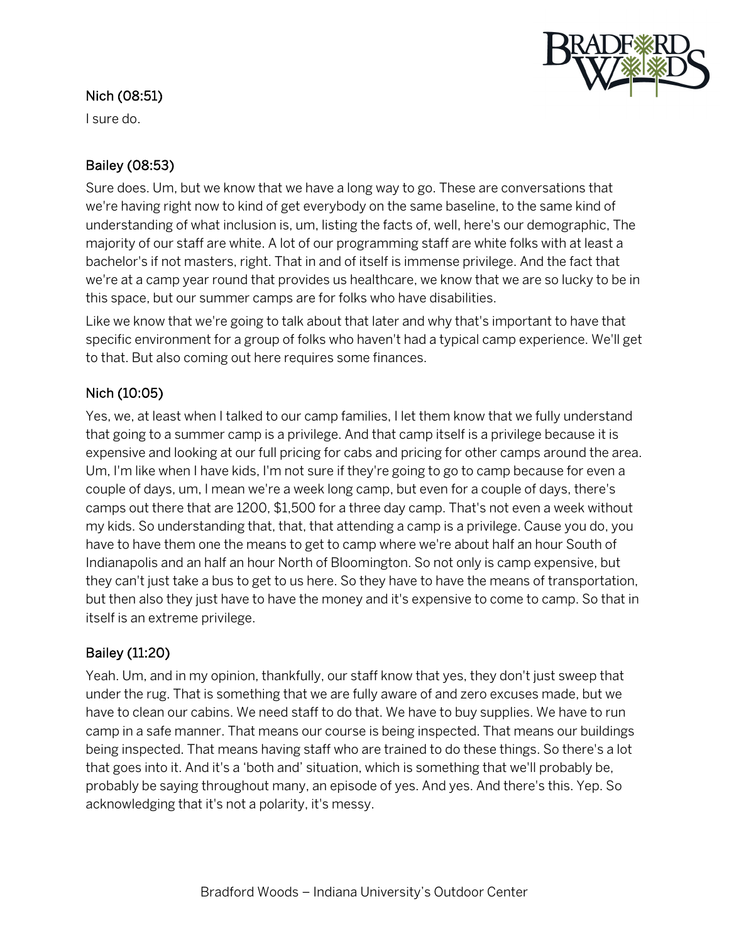

### Nich (08:51)

I sure do.

## Bailey (08:53)

Sure does. Um, but we know that we have a long way to go. These are conversations that we're having right now to kind of get everybody on the same baseline, to the same kind of understanding of what inclusion is, um, listing the facts of, well, here's our demographic, The majority of our staff are white. A lot of our programming staff are white folks with at least a bachelor's if not masters, right. That in and of itself is immense privilege. And the fact that we're at a camp year round that provides us healthcare, we know that we are so lucky to be in this space, but our summer camps are for folks who have disabilities.

Like we know that we're going to talk about that later and why that's important to have that specific environment for a group of folks who haven't had a typical camp experience. We'll get to that. But also coming out here requires some finances.

## Nich (10:05)

Yes, we, at least when I talked to our camp families, I let them know that we fully understand that going to a summer camp is a privilege. And that camp itself is a privilege because it is expensive and looking at our full pricing for cabs and pricing for other camps around the area. Um, I'm like when I have kids, I'm not sure if they're going to go to camp because for even a couple of days, um, I mean we're a week long camp, but even for a couple of days, there's camps out there that are 1200, \$1,500 for a three day camp. That's not even a week without my kids. So understanding that, that, that attending a camp is a privilege. Cause you do, you have to have them one the means to get to camp where we're about half an hour South of Indianapolis and an half an hour North of Bloomington. So not only is camp expensive, but they can't just take a bus to get to us here. So they have to have the means of transportation, but then also they just have to have the money and it's expensive to come to camp. So that in itself is an extreme privilege.

## Bailey (11:20)

Yeah. Um, and in my opinion, thankfully, our staff know that yes, they don't just sweep that under the rug. That is something that we are fully aware of and zero excuses made, but we have to clean our cabins. We need staff to do that. We have to buy supplies. We have to run camp in a safe manner. That means our course is being inspected. That means our buildings being inspected. That means having staff who are trained to do these things. So there's a lot that goes into it. And it's a 'both and' situation, which is something that we'll probably be, probably be saying throughout many, an episode of yes. And yes. And there's this. Yep. So acknowledging that it's not a polarity, it's messy.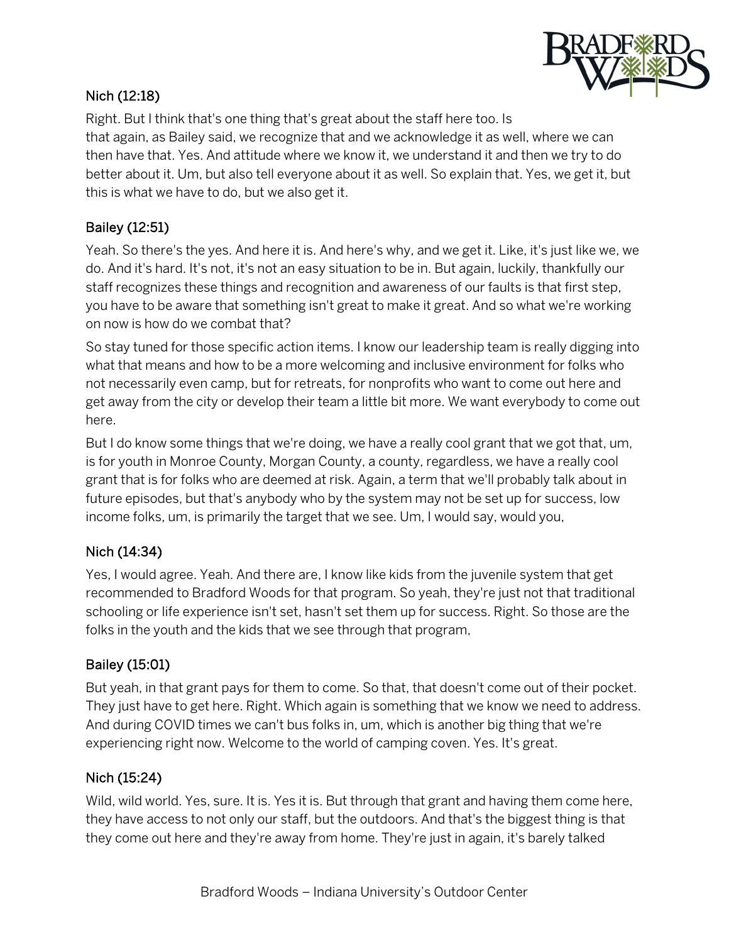

#### Nich (12:18)

Right. But I think that's one thing that's great about the staff here too. Is that again, as Bailey said, we recognize that and we acknowledge it as well, where we can then have that. Yes. And attitude where we know it, we understand it and then we try to do better about it. Um, but also tell everyone about it as well. So explain that. Yes, we get it, but this is what we have to do, but we also get it.

### Bailey (12:51)

Yeah. So there's the yes. And here it is. And here's why, and we get it. Like, it's just like we, we do. And it's hard. It's not, it's not an easy situation to be in. But again, luckily, thankfully our staff recognizes these things and recognition and awareness of our faults is that first step, you have to be aware that something isn't great to make it great. And so what we're working on now is how do we combat that?

So stay tuned for those specific action items. I know our leadership team is really digging into what that means and how to be a more welcoming and inclusive environment for folks who not necessarily even camp, but for retreats, for nonprofits who want to come out here and get away from the city or develop their team a little bit more. We want everybody to come out here.

But I do know some things that we're doing, we have a really cool grant that we got that, um, is for youth in Monroe County, Morgan County, a county, regardless, we have a really cool grant that is for folks who are deemed at risk. Again, a term that we'll probably talk about in future episodes, but that's anybody who by the system may not be set up for success, low income folks, um, is primarily the target that we see. Um, I would say, would you,

#### Nich (14:34)

Yes, I would agree. Yeah. And there are, I know like kids from the juvenile system that get recommended to Bradford Woods for that program. So yeah, they're just not that traditional schooling or life experience isn't set, hasn't set them up for success. Right. So those are the folks in the youth and the kids that we see through that program,

#### Bailey (15:01)

But yeah, in that grant pays for them to come. So that, that doesn't come out of their pocket. They just have to get here. Right. Which again is something that we know we need to address. And during COVID times we can't bus folks in, um, which is another big thing that we're experiencing right now. Welcome to the world of camping coven. Yes. It's great.

#### Nich (15:24)

Wild, wild world. Yes, sure. It is. Yes it is. But through that grant and having them come here, they have access to not only our staff, but the outdoors. And that's the biggest thing is that they come out here and they're away from home. They're just in again, it's barely talked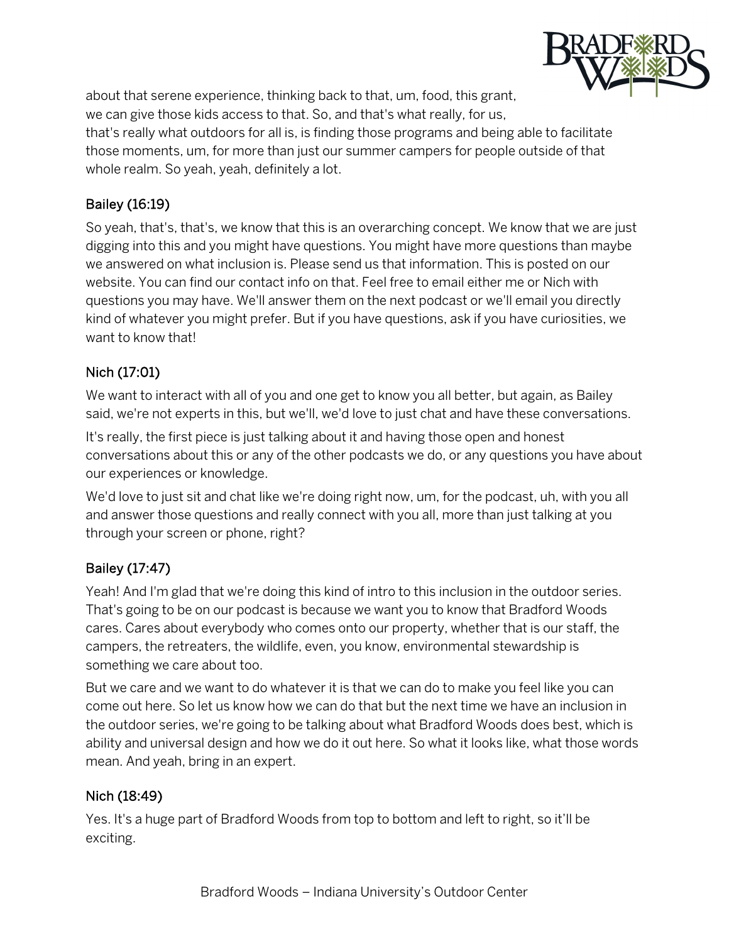

about that serene experience, thinking back to that, um, food, this grant, we can give those kids access to that. So, and that's what really, for us,

that's really what outdoors for all is, is finding those programs and being able to facilitate those moments, um, for more than just our summer campers for people outside of that whole realm. So yeah, yeah, definitely a lot.

## Bailey (16:19)

So yeah, that's, that's, we know that this is an overarching concept. We know that we are just digging into this and you might have questions. You might have more questions than maybe we answered on what inclusion is. Please send us that information. This is posted on our website. You can find our contact info on that. Feel free to email either me or Nich with questions you may have. We'll answer them on the next podcast or we'll email you directly kind of whatever you might prefer. But if you have questions, ask if you have curiosities, we want to know that!

## Nich (17:01)

We want to interact with all of you and one get to know you all better, but again, as Bailey said, we're not experts in this, but we'll, we'd love to just chat and have these conversations.

It's really, the first piece is just talking about it and having those open and honest conversations about this or any of the other podcasts we do, or any questions you have about our experiences or knowledge.

We'd love to just sit and chat like we're doing right now, um, for the podcast, uh, with you all and answer those questions and really connect with you all, more than just talking at you through your screen or phone, right?

## Bailey (17:47)

Yeah! And I'm glad that we're doing this kind of intro to this inclusion in the outdoor series. That's going to be on our podcast is because we want you to know that Bradford Woods cares. Cares about everybody who comes onto our property, whether that is our staff, the campers, the retreaters, the wildlife, even, you know, environmental stewardship is something we care about too.

But we care and we want to do whatever it is that we can do to make you feel like you can come out here. So let us know how we can do that but the next time we have an inclusion in the outdoor series, we're going to be talking about what Bradford Woods does best, which is ability and universal design and how we do it out here. So what it looks like, what those words mean. And yeah, bring in an expert.

## Nich (18:49)

Yes. It's a huge part of Bradford Woods from top to bottom and left to right, so it'll be exciting.